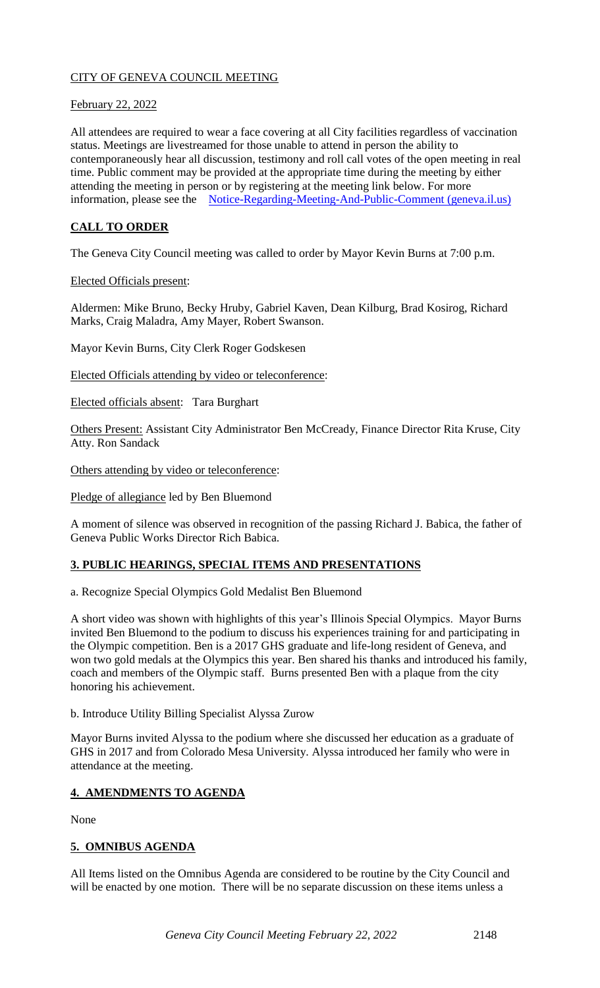# CITY OF GENEVA COUNCIL MEETING

### February 22, 2022

All attendees are required to wear a face covering at all City facilities regardless of vaccination status. Meetings are livestreamed for those unable to attend in person the ability to contemporaneously hear all discussion, testimony and roll call votes of the open meeting in real time. Public comment may be provided at the appropriate time during the meeting by either attending the meeting in person or by registering at the meeting link below. For more information, please see the [Notice-Regarding-Meeting-And-Public-Comment \(geneva.il.us\)](https://www.geneva.il.us/DocumentCenter/View/8694/Notice-Regarding-Meeting-And-Public-Comment)

# **CALL TO ORDER**

The Geneva City Council meeting was called to order by Mayor Kevin Burns at 7:00 p.m.

#### Elected Officials present:

Aldermen: Mike Bruno, Becky Hruby, Gabriel Kaven, Dean Kilburg, Brad Kosirog, Richard Marks, Craig Maladra, Amy Mayer, Robert Swanson.

Mayor Kevin Burns, City Clerk Roger Godskesen

Elected Officials attending by video or teleconference:

Elected officials absent: Tara Burghart

Others Present: Assistant City Administrator Ben McCready, Finance Director Rita Kruse, City Atty. Ron Sandack

Others attending by video or teleconference:

Pledge of allegiance led by Ben Bluemond

A moment of silence was observed in recognition of the passing Richard J. Babica, the father of Geneva Public Works Director Rich Babica.

## **3. PUBLIC HEARINGS, SPECIAL ITEMS AND PRESENTATIONS**

a. Recognize Special Olympics Gold Medalist Ben Bluemond

A short video was shown with highlights of this year's Illinois Special Olympics. Mayor Burns invited Ben Bluemond to the podium to discuss his experiences training for and participating in the Olympic competition. Ben is a 2017 GHS graduate and life-long resident of Geneva, and won two gold medals at the Olympics this year. Ben shared his thanks and introduced his family, coach and members of the Olympic staff. Burns presented Ben with a plaque from the city honoring his achievement.

b. Introduce Utility Billing Specialist Alyssa Zurow

Mayor Burns invited Alyssa to the podium where she discussed her education as a graduate of GHS in 2017 and from Colorado Mesa University. Alyssa introduced her family who were in attendance at the meeting.

## **4. AMENDMENTS TO AGENDA**

None

## **5. OMNIBUS AGENDA**

All Items listed on the Omnibus Agenda are considered to be routine by the City Council and will be enacted by one motion. There will be no separate discussion on these items unless a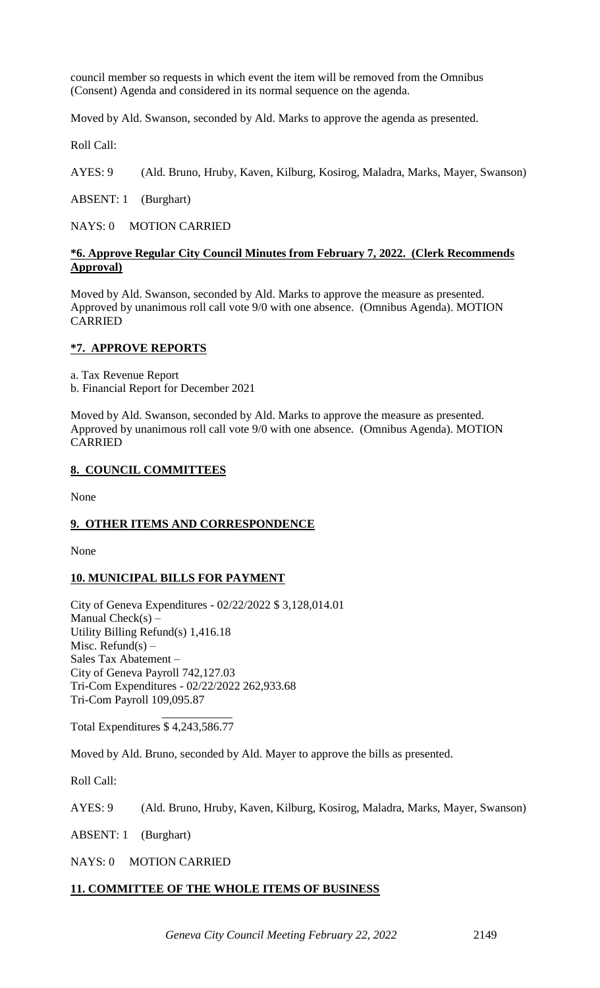council member so requests in which event the item will be removed from the Omnibus (Consent) Agenda and considered in its normal sequence on the agenda.

Moved by Ald. Swanson, seconded by Ald. Marks to approve the agenda as presented.

Roll Call:

AYES: 9 (Ald. Bruno, Hruby, Kaven, Kilburg, Kosirog, Maladra, Marks, Mayer, Swanson)

ABSENT: 1 (Burghart)

NAYS: 0 MOTION CARRIED

### **\*6. Approve Regular City Council Minutes from February 7, 2022. (Clerk Recommends Approval)**

Moved by Ald. Swanson, seconded by Ald. Marks to approve the measure as presented. Approved by unanimous roll call vote 9/0 with one absence. (Omnibus Agenda). MOTION CARRIED

### **\*7. APPROVE REPORTS**

a. Tax Revenue Report

b. Financial Report for December 2021

Moved by Ald. Swanson, seconded by Ald. Marks to approve the measure as presented. Approved by unanimous roll call vote 9/0 with one absence. (Omnibus Agenda). MOTION CARRIED

### **8. COUNCIL COMMITTEES**

None

## **9. OTHER ITEMS AND CORRESPONDENCE**

None

## **10. MUNICIPAL BILLS FOR PAYMENT**

City of Geneva Expenditures - 02/22/2022 \$ 3,128,014.01 Manual  $Check(s) -$ Utility Billing Refund(s) 1,416.18 Misc. Refund(s)  $-$ Sales Tax Abatement – City of Geneva Payroll 742,127.03 Tri-Com Expenditures - 02/22/2022 262,933.68 Tri-Com Payroll 109,095.87

 $\mathcal{L}_\text{max}$  and  $\mathcal{L}_\text{max}$  and  $\mathcal{L}_\text{max}$ Total Expenditures \$ 4,243,586.77

Moved by Ald. Bruno, seconded by Ald. Mayer to approve the bills as presented.

Roll Call:

AYES: 9 (Ald. Bruno, Hruby, Kaven, Kilburg, Kosirog, Maladra, Marks, Mayer, Swanson)

ABSENT: 1 (Burghart)

NAYS: 0 MOTION CARRIED

#### **11. COMMITTEE OF THE WHOLE ITEMS OF BUSINESS**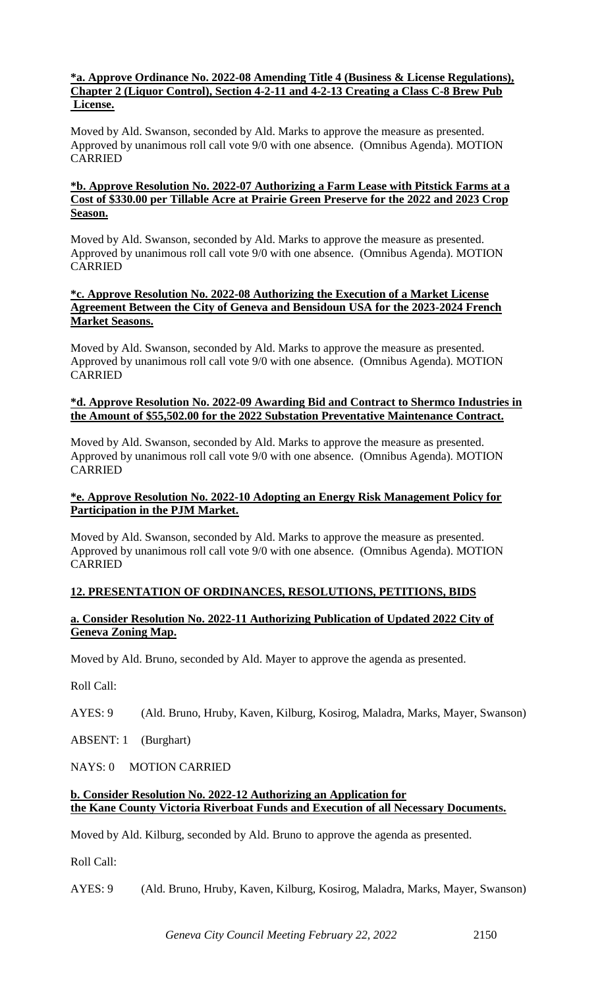### **\*a. Approve Ordinance No. 2022-08 Amending Title 4 (Business & License Regulations), Chapter 2 (Liquor Control), Section 4-2-11 and 4-2-13 Creating a Class C-8 Brew Pub License.**

Moved by Ald. Swanson, seconded by Ald. Marks to approve the measure as presented. Approved by unanimous roll call vote 9/0 with one absence. (Omnibus Agenda). MOTION CARRIED

### **\*b. Approve Resolution No. 2022-07 Authorizing a Farm Lease with Pitstick Farms at a Cost of \$330.00 per Tillable Acre at Prairie Green Preserve for the 2022 and 2023 Crop Season.**

Moved by Ald. Swanson, seconded by Ald. Marks to approve the measure as presented. Approved by unanimous roll call vote 9/0 with one absence. (Omnibus Agenda). MOTION CARRIED

#### **\*c. Approve Resolution No. 2022-08 Authorizing the Execution of a Market License Agreement Between the City of Geneva and Bensidoun USA for the 2023-2024 French Market Seasons.**

Moved by Ald. Swanson, seconded by Ald. Marks to approve the measure as presented. Approved by unanimous roll call vote 9/0 with one absence. (Omnibus Agenda). MOTION CARRIED

#### **\*d. Approve Resolution No. 2022-09 Awarding Bid and Contract to Shermco Industries in the Amount of \$55,502.00 for the 2022 Substation Preventative Maintenance Contract.**

Moved by Ald. Swanson, seconded by Ald. Marks to approve the measure as presented. Approved by unanimous roll call vote 9/0 with one absence. (Omnibus Agenda). MOTION CARRIED

### **\*e. Approve Resolution No. 2022-10 Adopting an Energy Risk Management Policy for Participation in the PJM Market.**

Moved by Ald. Swanson, seconded by Ald. Marks to approve the measure as presented. Approved by unanimous roll call vote 9/0 with one absence. (Omnibus Agenda). MOTION CARRIED

## **12. PRESENTATION OF ORDINANCES, RESOLUTIONS, PETITIONS, BIDS**

### **a. Consider Resolution No. 2022-11 Authorizing Publication of Updated 2022 City of Geneva Zoning Map.**

Moved by Ald. Bruno, seconded by Ald. Mayer to approve the agenda as presented.

Roll Call:

AYES: 9 (Ald. Bruno, Hruby, Kaven, Kilburg, Kosirog, Maladra, Marks, Mayer, Swanson)

ABSENT: 1 (Burghart)

NAYS: 0 MOTION CARRIED

### **b. Consider Resolution No. 2022-12 Authorizing an Application for the Kane County Victoria Riverboat Funds and Execution of all Necessary Documents.**

Moved by Ald. Kilburg, seconded by Ald. Bruno to approve the agenda as presented.

Roll Call:

AYES: 9 (Ald. Bruno, Hruby, Kaven, Kilburg, Kosirog, Maladra, Marks, Mayer, Swanson)